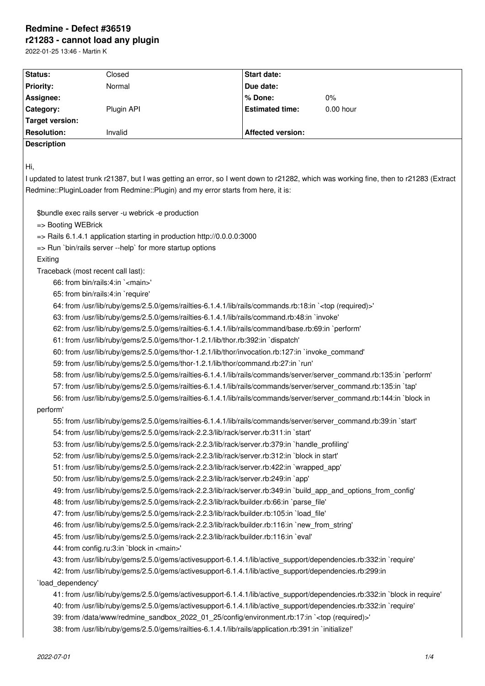# **Redmine - Defect #36519 r21283 - cannot load any plugin**

2022-01-25 13:46 - Martin K

| Status:                                                                                                                                                                                                                      | Closed     | Start date:              |             |
|------------------------------------------------------------------------------------------------------------------------------------------------------------------------------------------------------------------------------|------------|--------------------------|-------------|
| <b>Priority:</b>                                                                                                                                                                                                             | Normal     | Due date:                |             |
| Assignee:                                                                                                                                                                                                                    |            | % Done:                  | 0%          |
| Category:                                                                                                                                                                                                                    | Plugin API | <b>Estimated time:</b>   | $0.00$ hour |
| <b>Target version:</b>                                                                                                                                                                                                       |            |                          |             |
| <b>Resolution:</b>                                                                                                                                                                                                           | Invalid    | <b>Affected version:</b> |             |
| <b>Description</b>                                                                                                                                                                                                           |            |                          |             |
| Hi,                                                                                                                                                                                                                          |            |                          |             |
| I updated to latest trunk r21387, but I was getting an error, so I went down to r21282, which was working fine, then to r21283 (Extract                                                                                      |            |                          |             |
| Redmine::PluginLoader from Redmine::Plugin) and my error starts from here, it is:                                                                                                                                            |            |                          |             |
| \$bundle exec rails server -u webrick -e production<br>=> Booting WEBrick<br>$\Rightarrow$ Rails 6.1.4.1 application starting in production http://0.0.0.0:3000<br>=> Run `bin/rails server --help` for more startup options |            |                          |             |
| Exiting                                                                                                                                                                                                                      |            |                          |             |
| Traceback (most recent call last):                                                                                                                                                                                           |            |                          |             |
| 66: from bin/rails:4:in ` <main>'</main>                                                                                                                                                                                     |            |                          |             |
| 65: from bin/rails:4:in `require'                                                                                                                                                                                            |            |                          |             |
| 64: from /usr/lib/ruby/gems/2.5.0/gems/railties-6.1.4.1/lib/rails/commands.rb:18:in ` <top (required)="">'</top>                                                                                                             |            |                          |             |
| 63: from /usr/lib/ruby/gems/2.5.0/gems/railties-6.1.4.1/lib/rails/command.rb:48:in `invoke'                                                                                                                                  |            |                          |             |
| 62: from /usr/lib/ruby/gems/2.5.0/gems/railties-6.1.4.1/lib/rails/command/base.rb:69:in `perform'                                                                                                                            |            |                          |             |
| 61: from /usr/lib/ruby/gems/2.5.0/gems/thor-1.2.1/lib/thor.rb:392:in `dispatch'                                                                                                                                              |            |                          |             |
| 60: from /usr/lib/ruby/gems/2.5.0/gems/thor-1.2.1/lib/thor/invocation.rb:127:in `invoke_command'                                                                                                                             |            |                          |             |
| 59: from /usr/lib/ruby/gems/2.5.0/gems/thor-1.2.1/lib/thor/command.rb:27:in `run'                                                                                                                                            |            |                          |             |
| 58: from /usr/lib/ruby/gems/2.5.0/gems/railties-6.1.4.1/lib/rails/commands/server/server_command.rb:135:in `perform'                                                                                                         |            |                          |             |
| 57: from /usr/lib/ruby/gems/2.5.0/gems/railties-6.1.4.1/lib/rails/commands/server/server_command.rb:135:in `tap'                                                                                                             |            |                          |             |
| 56: from /usr/lib/ruby/gems/2.5.0/gems/railties-6.1.4.1/lib/rails/commands/server/server_command.rb:144:in `block in                                                                                                         |            |                          |             |
| perform'                                                                                                                                                                                                                     |            |                          |             |
| 55: from /usr/lib/ruby/gems/2.5.0/gems/railties-6.1.4.1/lib/rails/commands/server/server_command.rb:39:in `start'                                                                                                            |            |                          |             |
| 54: from /usr/lib/ruby/gems/2.5.0/gems/rack-2.2.3/lib/rack/server.rb:311:in `start'                                                                                                                                          |            |                          |             |
| 53: from /usr/lib/ruby/gems/2.5.0/gems/rack-2.2.3/lib/rack/server.rb:379:in `handle_profiling'                                                                                                                               |            |                          |             |
| 52: from /usr/lib/ruby/gems/2.5.0/gems/rack-2.2.3/lib/rack/server.rb:312:in `block in start'                                                                                                                                 |            |                          |             |
| 51: from /usr/lib/ruby/gems/2.5.0/gems/rack-2.2.3/lib/rack/server.rb:422:in `wrapped_app'                                                                                                                                    |            |                          |             |
| 50: from /usr/lib/ruby/gems/2.5.0/gems/rack-2.2.3/lib/rack/server.rb:249:in `app'                                                                                                                                            |            |                          |             |
| 49: from /usr/lib/ruby/gems/2.5.0/gems/rack-2.2.3/lib/rack/server.rb:349:in `build_app_and_options_from_config'                                                                                                              |            |                          |             |
| 48: from /usr/lib/ruby/gems/2.5.0/gems/rack-2.2.3/lib/rack/builder.rb:66:in `parse file'                                                                                                                                     |            |                          |             |
| 47: from /usr/lib/ruby/gems/2.5.0/gems/rack-2.2.3/lib/rack/builder.rb:105:in `load_file'                                                                                                                                     |            |                          |             |
| 46: from /usr/lib/ruby/gems/2.5.0/gems/rack-2.2.3/lib/rack/builder.rb:116:in `new_from_string'                                                                                                                               |            |                          |             |
| 45: from /usr/lib/ruby/gems/2.5.0/gems/rack-2.2.3/lib/rack/builder.rb:116:in `eval'                                                                                                                                          |            |                          |             |
| 44: from config.ru:3:in `block in <main>'</main>                                                                                                                                                                             |            |                          |             |
| 43: from /usr/lib/ruby/gems/2.5.0/gems/activesupport-6.1.4.1/lib/active_support/dependencies.rb:332:in `require'                                                                                                             |            |                          |             |
| 42: from /usr/lib/ruby/gems/2.5.0/gems/activesupport-6.1.4.1/lib/active_support/dependencies.rb:299:in                                                                                                                       |            |                          |             |
| 'load_dependency'                                                                                                                                                                                                            |            |                          |             |
| 41: from /usr/lib/ruby/gems/2.5.0/gems/activesupport-6.1.4.1/lib/active_support/dependencies.rb:332:in `block in require'                                                                                                    |            |                          |             |
| 40: from /usr/lib/ruby/gems/2.5.0/gems/activesupport-6.1.4.1/lib/active_support/dependencies.rb:332:in `require'                                                                                                             |            |                          |             |
| 39: from /data/www/redmine_sandbox_2022_01_25/config/environment.rb:17:in ` <top (required)="">'</top>                                                                                                                       |            |                          |             |
| 38: from /usr/lib/ruby/gems/2.5.0/gems/railties-6.1.4.1/lib/rails/application.rb:391:in `initialize!'                                                                                                                        |            |                          |             |
|                                                                                                                                                                                                                              |            |                          |             |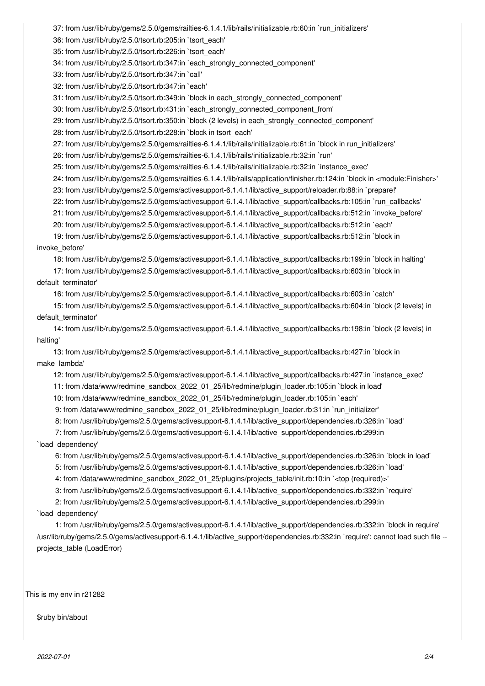37: from /usr/lib/ruby/gems/2.5.0/gems/railties-6.1.4.1/lib/rails/initializable.rb:60:in `run\_initializers'

36: from /usr/lib/ruby/2.5.0/tsort.rb:205:in `tsort\_each'

35: from /usr/lib/ruby/2.5.0/tsort.rb:226:in `tsort\_each'

34: from /usr/lib/ruby/2.5.0/tsort.rb:347:in `each\_strongly\_connected\_component'

33: from /usr/lib/ruby/2.5.0/tsort.rb:347:in `call'

32: from /usr/lib/ruby/2.5.0/tsort.rb:347:in `each'

31: from /usr/lib/ruby/2.5.0/tsort.rb:349:in `block in each\_strongly\_connected\_component'

30: from /usr/lib/ruby/2.5.0/tsort.rb:431:in `each\_strongly\_connected\_component\_from'

29: from /usr/lib/ruby/2.5.0/tsort.rb:350:in `block (2 levels) in each\_strongly\_connected\_component'

28: from /usr/lib/ruby/2.5.0/tsort.rb:228:in `block in tsort\_each'

27: from /usr/lib/ruby/gems/2.5.0/gems/railties-6.1.4.1/lib/rails/initializable.rb:61:in `block in run\_initializers'

26: from /usr/lib/ruby/gems/2.5.0/gems/railties-6.1.4.1/lib/rails/initializable.rb:32:in `run'

25: from /usr/lib/ruby/gems/2.5.0/gems/railties-6.1.4.1/lib/rails/initializable.rb:32:in `instance\_exec'

24: from /usr/lib/ruby/gems/2.5.0/gems/railties-6.1.4.1/lib/rails/application/finisher.rb:124:in `block in <module:Finisher>'

23: from /usr/lib/ruby/gems/2.5.0/gems/activesupport-6.1.4.1/lib/active\_support/reloader.rb:88:in `prepare!'

22: from /usr/lib/ruby/gems/2.5.0/gems/activesupport-6.1.4.1/lib/active\_support/callbacks.rb:105:in `run\_callbacks'

21: from /usr/lib/ruby/gems/2.5.0/gems/activesupport-6.1.4.1/lib/active\_support/callbacks.rb:512:in `invoke\_before'

20: from /usr/lib/ruby/gems/2.5.0/gems/activesupport-6.1.4.1/lib/active\_support/callbacks.rb:512:in `each'

 19: from /usr/lib/ruby/gems/2.5.0/gems/activesupport-6.1.4.1/lib/active\_support/callbacks.rb:512:in `block in invoke\_before'

18: from /usr/lib/ruby/gems/2.5.0/gems/activesupport-6.1.4.1/lib/active\_support/callbacks.rb:199:in `block in halting'

 17: from /usr/lib/ruby/gems/2.5.0/gems/activesupport-6.1.4.1/lib/active\_support/callbacks.rb:603:in `block in default\_terminator'

16: from /usr/lib/ruby/gems/2.5.0/gems/activesupport-6.1.4.1/lib/active\_support/callbacks.rb:603:in `catch'

 15: from /usr/lib/ruby/gems/2.5.0/gems/activesupport-6.1.4.1/lib/active\_support/callbacks.rb:604:in `block (2 levels) in default\_terminator'

 14: from /usr/lib/ruby/gems/2.5.0/gems/activesupport-6.1.4.1/lib/active\_support/callbacks.rb:198:in `block (2 levels) in halting'

 13: from /usr/lib/ruby/gems/2.5.0/gems/activesupport-6.1.4.1/lib/active\_support/callbacks.rb:427:in `block in make\_lambda'

12: from /usr/lib/ruby/gems/2.5.0/gems/activesupport-6.1.4.1/lib/active\_support/callbacks.rb:427:in `instance\_exec'

11: from /data/www/redmine\_sandbox\_2022\_01\_25/lib/redmine/plugin\_loader.rb:105:in `block in load'

10: from /data/www/redmine\_sandbox\_2022\_01\_25/lib/redmine/plugin\_loader.rb:105:in `each'

9: from /data/www/redmine\_sandbox\_2022\_01\_25/lib/redmine/plugin\_loader.rb:31:in `run\_initializer'

8: from /usr/lib/ruby/gems/2.5.0/gems/activesupport-6.1.4.1/lib/active\_support/dependencies.rb:326:in `load'

 7: from /usr/lib/ruby/gems/2.5.0/gems/activesupport-6.1.4.1/lib/active\_support/dependencies.rb:299:in `load\_dependency'

6: from /usr/lib/ruby/gems/2.5.0/gems/activesupport-6.1.4.1/lib/active\_support/dependencies.rb:326:in `block in load'

5: from /usr/lib/ruby/gems/2.5.0/gems/activesupport-6.1.4.1/lib/active\_support/dependencies.rb:326:in `load'

4: from /data/www/redmine\_sandbox\_2022\_01\_25/plugins/projects\_table/init.rb:10:in `<top (required)>'

3: from /usr/lib/ruby/gems/2.5.0/gems/activesupport-6.1.4.1/lib/active\_support/dependencies.rb:332:in `require'

2: from /usr/lib/ruby/gems/2.5.0/gems/activesupport-6.1.4.1/lib/active\_support/dependencies.rb:299:in

# `load\_dependency'

 1: from /usr/lib/ruby/gems/2.5.0/gems/activesupport-6.1.4.1/lib/active\_support/dependencies.rb:332:in `block in require' /usr/lib/ruby/gems/2.5.0/gems/activesupport-6.1.4.1/lib/active\_support/dependencies.rb:332:in `require': cannot load such file - projects\_table (LoadError)

This is my env in r21282

\$ruby bin/about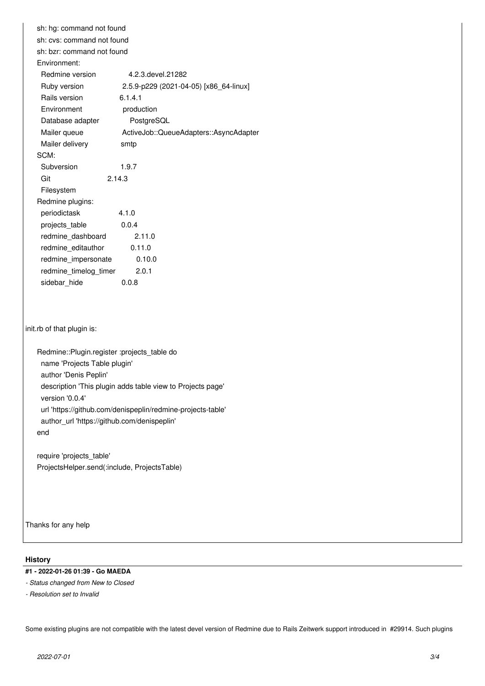sh: hg: command not found sh: cvs: command not found sh: bzr: command not found Environment: Redmine version 4.2.3.devel.21282 Ruby version 2.5.9-p229 (2021-04-05) [x86\_64-linux] Rails version 6.1.4.1 Environment production Database adapter PostgreSQL Mailer queue **ActiveJob::QueueAdapters::AsyncAdapter** Mailer delivery smtp SCM: Subversion 1.9.7 Git 2.14.3 Filesystem Redmine plugins: periodictask 4.1.0 projects\_table 0.0.4 redmine\_dashboard 2.11.0 redmine\_editauthor 0.11.0 redmine\_impersonate 0.10.0 redmine\_timelog\_timer 2.0.1 sidebar hide 0.0.8 init.rb of that plugin is: Redmine::Plugin.register :projects\_table do name 'Projects Table plugin' author 'Denis Peplin' description 'This plugin adds table view to Projects page' version '0.0.4' url 'https://github.com/denispeplin/redmine-projects-table' author\_url 'https://github.com/denispeplin'

end

require 'projects\_table' ProjectsHelper.send(:include, ProjectsTable)

Thanks for any help

#### **History**

**#1 - 2022-01-26 01:39 - Go MAEDA**

*- Status changed from New to Closed*

*- Resolution set to Invalid*

Some existing plugins are not compatible with the latest devel version of Redmine due to Rails Zeitwerk support introduced in #29914. Such plugins